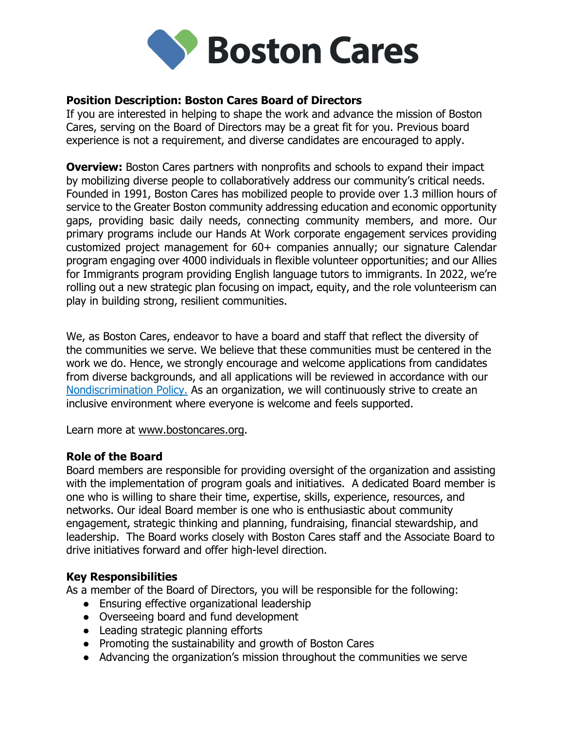

# Position Description: Boston Cares Board of Directors

If you are interested in helping to shape the work and advance the mission of Boston Cares, serving on the Board of Directors may be a great fit for you. Previous board experience is not a requirement, and diverse candidates are encouraged to apply.

**Overview:** Boston Cares partners with nonprofits and schools to expand their impact by mobilizing diverse people to collaboratively address our community's critical needs. Founded in 1991, Boston Cares has mobilized people to provide over 1.3 million hours of service to the Greater Boston community addressing education and economic opportunity gaps, providing basic daily needs, connecting community members, and more. Our primary programs include our Hands At Work corporate engagement services providing customized project management for 60+ companies annually; our signature Calendar program engaging over 4000 individuals in flexible volunteer opportunities; and our Allies for Immigrants program providing English language tutors to immigrants. In 2022, we're rolling out a new strategic plan focusing on impact, equity, and the role volunteerism can play in building strong, resilient communities.

We, as Boston Cares, endeavor to have a board and staff that reflect the diversity of the communities we serve. We believe that these communities must be centered in the work we do. Hence, we strongly encourage and welcome applications from candidates from diverse backgrounds, and all applications will be reviewed in accordance with our Nondiscrimination Policy. As an organization, we will continuously strive to create an inclusive environment where everyone is welcome and feels supported.

Learn more at www.bostoncares.org.

## Role of the Board

Board members are responsible for providing oversight of the organization and assisting with the implementation of program goals and initiatives. A dedicated Board member is one who is willing to share their time, expertise, skills, experience, resources, and networks. Our ideal Board member is one who is enthusiastic about community engagement, strategic thinking and planning, fundraising, financial stewardship, and leadership. The Board works closely with Boston Cares staff and the Associate Board to drive initiatives forward and offer high-level direction.

## Key Responsibilities

As a member of the Board of Directors, you will be responsible for the following:

- Ensuring effective organizational leadership
- Overseeing board and fund development
- Leading strategic planning efforts
- Promoting the sustainability and growth of Boston Cares
- Advancing the organization's mission throughout the communities we serve